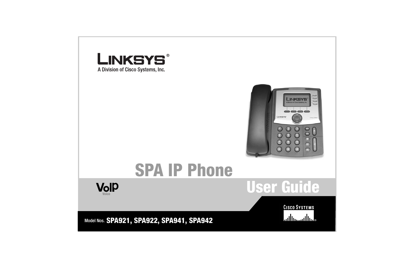

A Division of Cisco Systems, Inc.



# **SPA IP Phone**



**User Guide**

**CISCO SYSTEMS** ەتىئالىستىتالىيا

Model Nos. **SPA921, SPA922, SPA941, SPA942**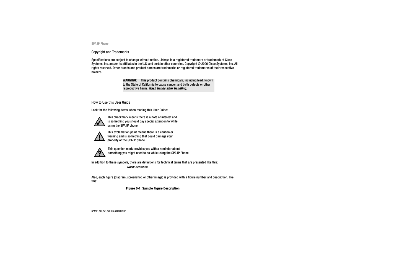#### Copyright and Trademarks

Specifications are subject to change without notice. Linksys is a registered trademark or trademark of Cisco Systems, Inc. and/or its affiliates in the U.S. and certain other countries. Copyright © 2006 Cisco Systems, Inc. All rights reserved. Other brands and product names are trademarks or registered trademarks of their respective holders.

> **WARNING:** This product contains chemicals, including lead, known to the State of California to cause cancer, and birth defects or other reproductive harm. *Wash hands after handling.*

How to Use this User Guide

Look for the following items when reading this User Guide:



This checkmark means there is a note of interest and is something you should pay special attention to while using the SPA IP phone.



This exclamation point means there is a caution or warning and is something that could damage your property or the SPA IP phone.



This question mark provides you with a reminder about something you might need to do while using the SPA IP Phone.

In addition to these symbols, there are definitions for technical terms that are presented like this: *word: definition.*

Also, each figure (diagram, screenshot, or other image) is provided with a figure number and description, like this:

#### **Figure 0-1: Sample Figure Description**

SPA921,922,941,942-UG-60426NC DF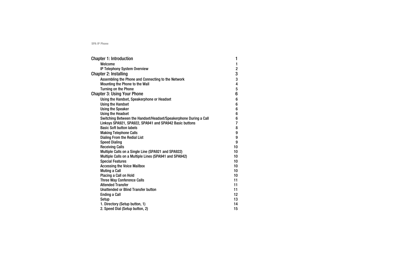| <b>Chapter 1: Introduction</b>                                   | 1                       |
|------------------------------------------------------------------|-------------------------|
| Welcome                                                          | 1                       |
| IP Telephony System Overview                                     | $\overline{2}$          |
| Chapter 2: Installing                                            | 3                       |
| Assembling the Phone and Connecting to the Network               | $\mathbf{3}$            |
| Mounting the Phone to the Wall                                   | $\overline{\mathbf{4}}$ |
| <b>Turning on the Phone</b>                                      | $5\phantom{.0}$         |
| <b>Chapter 3: Using Your Phone</b>                               | $6\phantom{1}$          |
| Using the Handset, Speakerphone or Headset                       | $6\phantom{1}$          |
| <b>Using the Handset</b>                                         | $6\phantom{a}$          |
| <b>Using the Speaker</b>                                         | $6\phantom{a}$          |
| <b>Using the Headset</b>                                         | $6\phantom{a}$          |
| Switching Between the Handset/Headset/Speakerphone During a Call | $\bf 6$                 |
| Linksys SPA921, SPA922, SPA941 and SPA942 Basic buttons          | $\overline{7}$          |
| <b>Basic Soft button labels</b>                                  | 8                       |
| <b>Making Telephone Calls</b>                                    | 9                       |
| <b>Dialing From the Redial List</b>                              | $\boldsymbol{9}$        |
| <b>Speed Dialing</b>                                             | 9                       |
| <b>Receiving Calls</b>                                           | 10                      |
| Multiple Calls on a Single Line (SPA921 and SPA922)              | 10 <sup>1</sup>         |
| Multiple Calls on a Multiple Lines (SPA941 and SPA942)           | 10 <sup>1</sup>         |
| <b>Special Features</b>                                          | 10                      |
| <b>Accessing the Voice Mailbox</b>                               | 10                      |
| <b>Muting a Call</b>                                             | 10 <sup>1</sup>         |
| <b>Placing a Call on Hold</b>                                    | 10 <sup>1</sup>         |
| <b>Three Way Conference Calls</b>                                | 11                      |
| <b>Attended Transfer</b>                                         | 11                      |
| <b>Unattended or Blind Transfer button</b>                       | 11                      |
| <b>Ending a Call</b>                                             | 12                      |
| Setup                                                            | 13                      |
| 1. Directory (Setup button, 1)                                   | 14                      |
| 2. Speed Dial (Setup button, 2)                                  | 15                      |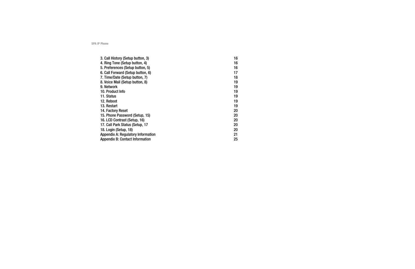| 3. Call History (Setup button, 3)         | 16 |
|-------------------------------------------|----|
| 4. Ring Tone (Setup button, 4)            | 16 |
| 5. Preferences (Setup button, 5)          | 16 |
| 6. Call Forward (Setup button, 6)         | 17 |
| 7. Time/Date (Setup button, 7)            | 18 |
| 8. Voice Mail (Setup button, 8)           | 19 |
| 9. Network                                | 19 |
| 10. Product Info                          | 19 |
| 11. Status                                | 19 |
| 12. Reboot                                | 19 |
| 13. Restart                               | 19 |
| 14. Factory Reset                         | 20 |
| 15. Phone Password (Setup, 15)            | 20 |
| 16. LCD Contrast (Setup, 16)              | 20 |
| 17. Call Park Status (Setup, 17           | 20 |
| 18. Login (Setup, 18)                     | 20 |
| <b>Appendix A: Regulatory Information</b> | 21 |
| <b>Appendix B: Contact Information</b>    | 25 |
|                                           |    |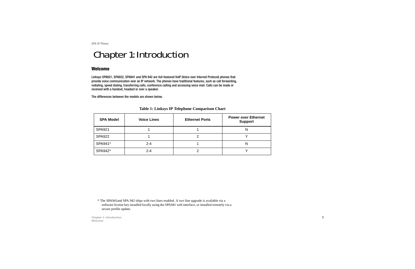# <span id="page-4-0"></span>Chapter 1: Introduction

#### <span id="page-4-1"></span>**Welcome**

Linksys SPA921, SPA922, SPA941 and SPA 942 are full-featured VoIP (Voice over Internet Protocol) phones that provide voice communication over an IP network. The phones have traditional features, such as call forwarding, redialing, speed dialing, transferring calls, conference calling and accessing voice mail. Calls can be made or received with a handset, headset or over a speaker.

The differences between the models are shown below.

| <b>SPA Model</b> | <b>Voice Lines</b> | <b>Ethernet Ports</b> | <b>Power over Ethernet</b><br><b>Support</b> |
|------------------|--------------------|-----------------------|----------------------------------------------|
| <b>SPA921</b>    |                    |                       |                                              |
| <b>SPA922</b>    |                    |                       |                                              |
| SPA941*          | $2 - 4$            |                       | N                                            |
| SPA942*          | $2 - 4$            |                       |                                              |

#### **Table 1: Linksys IP Telephone Comparison Chart**

\* The SPA941and SPA 942 ships with two lines enabled. A two line upgrade is available via a software license key installed locally using the SPA941 web interface, or installed remotely via a secure profile update.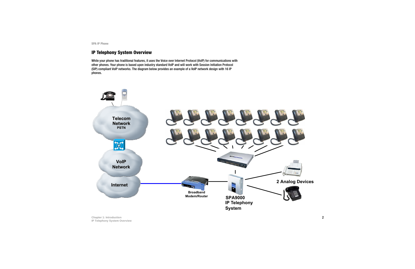#### <span id="page-5-0"></span>**IP Telephony System Overview**

While your phone has traditional features, it uses the Voice over Internet Protocol (VoIP) for communications with other phones. Your phone is based upon industry standard VoIP and will work with Session Initiation Protocol (SIP) compliant VoIP networks. The diagram below provides an example of a VoIP network design with 16 IP phones.

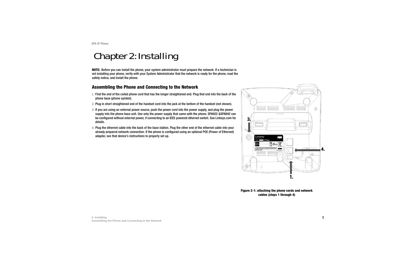# <span id="page-6-0"></span>Chapter 2: Installing

**NOTE:** Before you can install the phone, your system administrator must prepare the network. If a technician is not installing your phone, verify with your System Administrator that the network is ready for the phone, read the safety notice, and install the phone.

#### <span id="page-6-1"></span>**Assembling the Phone and Connecting to the Network**

- 1 Find the end of the coiled phone cord that has the longer straightened end. Plug that end into the back of the phone base (phone symbol).
- 2 Plug in short straightened end of the handset cord into the jack at the bottom of the handset (not shown).
- 3 If you are using an external power source, push the power cord into the power supply, and plug the power supply into the phone base unit. Use only the power supply that came with the phone. SPA922 &SPA942 can be configured without external power, if connecting to an IEEE powered ethernet switch. See Linksys.com for details.
- 4 Plug the ethernet cable into the back of the base station. Plug the other end of the ethernet cable into your already prepared network connection. If the phone is configured using an optional POE (Power of Ethernet) adapter, see that device's instructions to properly set up.



**Figure 2-1: attaching the phone cords and network cables (steps 1 through 4)**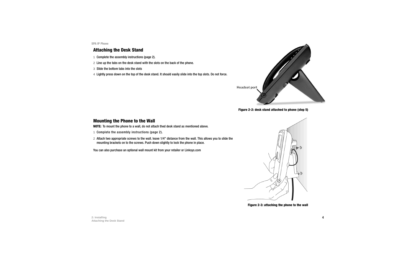#### <span id="page-7-0"></span>**Attaching the Desk Stand**

- 1 Complete the assembly instructions (page 2).
- 2 Line up the tabs on the desk stand with the slots on the back of the phone.
- 3 Slide the bottom tabs into the slots
- 4 Lightly press down on the top of the desk stand. It should easily slide into the top slots. Do not force.



**Figure 2-2: desk stand attached to phone (step 5)**

#### **Mounting the Phone to the Wall**

**NOTE:** To mount the phone to a wall, do not attach thed desk stand as mentioned above.

- 1 Complete the assembly instructions (page 2).
- 2 Attach two appropriate screws to the wall. leave 1/4" distance from the wall. This allows you to slide the mounting brackets on to the screws. Push down slightly to lock the phone in place.

You can also purchase an optional wall mount kit from your retailer or Linksys.com



**Figure 2-3: attaching the phone to the wall**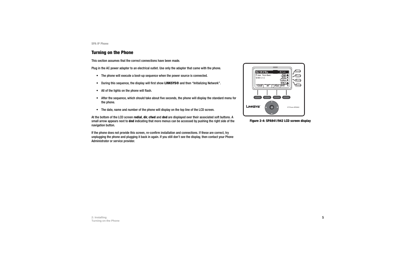#### <span id="page-8-0"></span>**Turning on the Phone**

This section assumes that the correct connections have been made.

Plug in the AC power adapter to an electrical outlet. Use only the adapter that came with the phone.

- The phone will execute a boot-up sequence when the power source is connected.
- $\bullet$ During this sequence, the display will first show **LINKSYS®** and then "Initializing Network".
- $\bullet$ All of the lights on the phone will flash.
- $\bullet$  After the sequence, which should take about five seconds, the phone will display the standard menu for the phone.
- $\bullet$ The date, name and number of the phone will display on the top line of the LCD screen.

At the bottom of the LCD screen **redial**, **dir**, **cfwd** and **dnd** are displayed over their associated soft buttons. A small arrow appears next to **dnd** indicating that more menus can be accessed by pushing the right side of the navigation button.

If the phone does not provide this screen, re-confirm installation and connections. If these are correct, try unplugging the phone and plugging it back in again. If you still don't see the display, then contact your Phone Administrator or service provider.



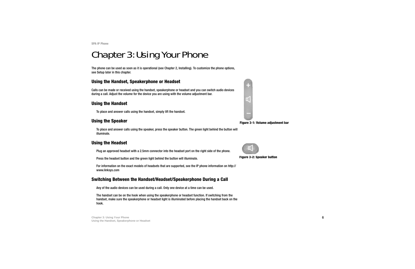# <span id="page-9-1"></span>Chapter 3: Using Your Phone

The phone can be used as soon as it is operational (see Chapter 2, Installing). To customize the phone options, see Setup later in this chapter.

### <span id="page-9-2"></span>**Using the Handset, Speakerphone or Headset**

Calls can be made or received using the handset, speakerphone or headset and you can switch audio devices during a call. Adjust the volume for the device you are using with the volume adjustment bar.

### <span id="page-9-0"></span>**Using the Handset**

To place and answer calls using the handset, simply lift the handset.

# <span id="page-9-3"></span>**Using the Speaker**

To place and answer calls using the speaker, press the speaker button. The green light behind the button will illuminate.

# <span id="page-9-4"></span>**Using the Headset**

Plug an approved headset with a 2.5mm connector into the headset port on the right side of the phone.

Press the headset button and the green light behind the button will illuminate.

For information on the exact models of headsets that are supported, see the IP phone information on http:// www.linksys.com

### <span id="page-9-5"></span>**Switching Between the Handset/Headset/Speakerphone During a Call**

Any of the audio devices can be used during a call. Only one device at a time can be used.

The handset can be on the hook when using the speakerphone or headset function. If switching from the handset, make sure the speakerphone or headset light is illuminated before placing the handset back on the hook.



**Figure 3-1: Volume adjustment bar**



**Figure 3-2: Speaker button**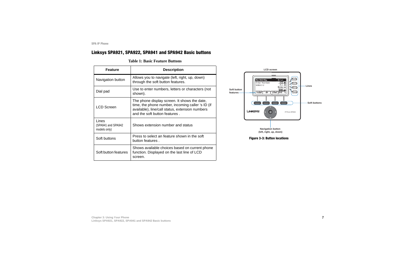### <span id="page-10-0"></span>**Linksys SPA921, SPA922, SPA941 and SPA942 Basic buttons**

#### **Table 1: Basic Feature Buttons**

| <b>Feature</b>                              | <b>Description</b>                                                                                                                                                                    |
|---------------------------------------------|---------------------------------------------------------------------------------------------------------------------------------------------------------------------------------------|
| Navigation button                           | Allows you to navigate (left, right, up, down)<br>through the soft button features.                                                                                                   |
| Dial pad                                    | Use to enter numbers, letters or characters (not<br>shown).                                                                                                                           |
| <b>LCD Screen</b>                           | The phone display screen. It shows the date,<br>time, the phone number, incoming caller 's ID (if<br>available), line/call status, extension numbers<br>and the soft button features. |
| Lines<br>(SPA941 and SPA942<br>models only) | Shows extension number and status                                                                                                                                                     |
| Soft buttons                                | Press to select an feature shown in the soft<br>button features.                                                                                                                      |
| Soft button features                        | Shows available choices based on current phone<br>function. Displayed on the last line of LCD<br>screen.                                                                              |



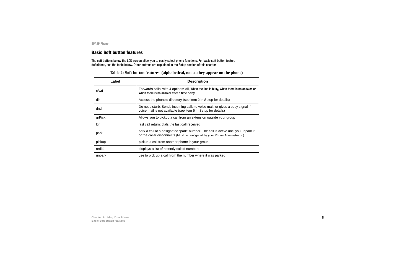#### <span id="page-11-0"></span>**Basic Soft button features**

The soft buttons below the LCD screen allow you to easily select phone functions. For basic soft button feature definitions, see the table below. Other buttons are explained in the Setup section of this chapter.

| Label  | <b>Description</b>                                                                                                                                                |
|--------|-------------------------------------------------------------------------------------------------------------------------------------------------------------------|
| cfwd   | Forwards calls, with 4 options: All, When the line is busy, When there is no answer, or<br>When there is no answer after a time delay                             |
| dir    | Access the phone's directory (see item 2 in Setup for details)                                                                                                    |
| dnd    | Do not disturb. Sends incoming calls to voice mail, or gives a busy signal if<br>voice mail is not available (see item 5 in Setup for details)                    |
| grPick | Allows you to pickup a call from an extension outside your group                                                                                                  |
| lcr    | last call return: dials the last call received                                                                                                                    |
| park   | park a call at a designated "park" number. The call is active until you unpark it,<br>or the caller disconnects (Must be configured by your Phone Administrator.) |
| pickup | pickup a call from another phone in your group                                                                                                                    |
| redial | displays a list of recently called numbers                                                                                                                        |
| unpark | use to pick up a call from the number where it was parked                                                                                                         |

| Table 2: Soft button features (alphabetical, not as they appear on the phone) |  |  |
|-------------------------------------------------------------------------------|--|--|
|                                                                               |  |  |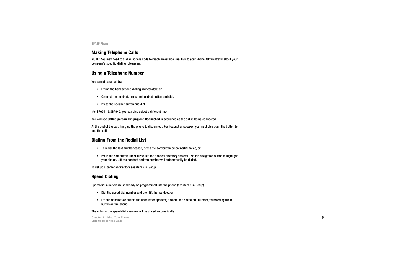#### **Making Telephone Calls**

**NOTE:** You may need to dial an access code to reach an outside line. Talk to your Phone Administrator about your company's specific dialing rules/plan.

#### **Using a Telephone Number**

You can place a call by:

- Lifting the handset and dialing immediately, or
- •Connect the headset, press the headset button and dial, or
- $\bullet$ Press the speaker button and dial.

(for SPA941 & SPA942, you can also select a different line)

You will see **Called person Ringing** and **Connected** in sequence as the call is being connected.

At the end of the call, hang up the phone to disconnect. For headset or speaker, you must also push the button to end the call.

### <span id="page-12-0"></span>**Dialing From the Redial List**

- To redial the last number called, press the soft button below **redial** twice, or
- Press the soft button under **dir** to see the phone's directory choices. Use the navigation button to highlight your choice. Lift the handset and the number will automatically be dialed.

To set up a personal directory see item 2 in Setup.

# <span id="page-12-1"></span>**Speed Dialing**

Speed dial numbers must already be programmed into the phone (see item 3 in Setup)

- Dial the speed dial number and then lift the handset, or
- Lift the handset (or enable the headset or speaker) and dial the speed dial number, followed by the # button on the phone.

The entry in the speed dial memory will be dialed automatically.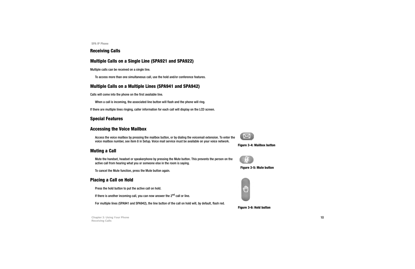#### <span id="page-13-0"></span>**Receiving Calls**

### <span id="page-13-1"></span>**Multiple Calls on a Single Line (SPA921 and SPA922)**

Multiple calls can be received on a single line.

To access more than one simultaneous call, use the hold and/or conference features.

### <span id="page-13-2"></span>**Multiple Calls on a Multiple Lines (SPA941 and SPA942)**

Calls will come into the phone on the first available line.

When a call is incoming, the associated line button will flash and the phone will ring.

If there are multiple lines ringing, caller information for each call will display on the LCD screen.

#### <span id="page-13-3"></span>**Special Features**

#### <span id="page-13-4"></span>**Accessing the Voice Mailbox**

Access the voice mailbox by pressing the mailbox button, or by dialing the voicemail extension. To enter the voice mailbox number, see item 8 in Setup. Voice mail service must be available on your voice network.

# <span id="page-13-5"></span>**Muting a Call**

Mute the handset, headset or speakerphone by pressing the Mute button. This prevents the person on the active call from hearing what you or someone else in the room is saying.

To cancel the Mute function, press the Mute button again.

### <span id="page-13-6"></span>**Placing a Call on Hold**

Press the hold button to put the active call on hold.

If there is another incoming call, you can now answer the  $2<sup>nd</sup>$  call or line.

For multiple lines (SPA941 and SPA942), the line button of the call on hold will, by default, flash red.



#### **Figure 3-4: Mailbox button**



**Figure 3-5: Mute button**



**Figure 3-6: Hold button**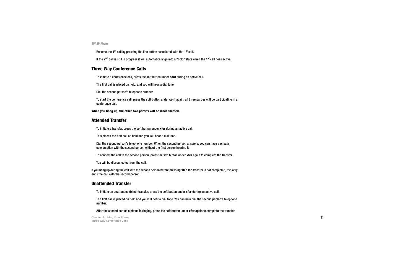Resume the 1<sup>st</sup> call by pressing the line button associated with the 1<sup>st</sup> call.

If the 2<sup>nd</sup> call is still in progress it will automatically go into a "hold" state when the 1<sup>st</sup> call goes active.

#### <span id="page-14-0"></span>**Three Way Conference Calls**

To initiate a conference call, press the soft button under **conf** during an active call.

The first call is placed on hold, and you will hear a dial tone.

Dial the second person's telephone number.

To start the conference call, press the soft button under **conf** again; all three parties will be participating in a conference call.

#### **When you hang up, the other two parties will be disconnected.**

#### <span id="page-14-1"></span>**Attended Transfer**

To initiate a transfer, press the soft button under **xfer** during an active call.

This places the first call on hold and you will hear a dial tone.

Dial the second person's telephone number. When the second person answers, you can have a private conversation with the second person without the first person hearing it.

To connect the call to the second person, press the soft button under **xfer** again to complete the transfer.

You will be disconnected from the call.

If you hang up during the call with the second person before pressing **xfer**, the transfer is not completed, this only ends the call with the second person.

#### <span id="page-14-2"></span>**Unattended Transfer**

To initiate an unattended (blind) transfer, press the soft button under **xfer** during an active call.

The first call is placed on hold and you will hear a dial tone. You can now dial the second person's telephone number.

After the second person's phone is ringing, press the soft button under **xfer** again to complete the transfer.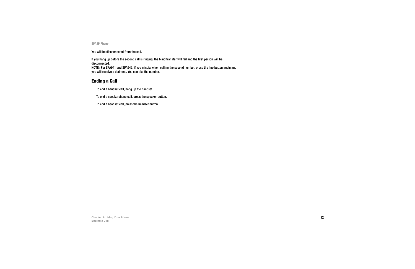You will be disconnected from the call.

If you hang up before the second call is ringing, the blind transfer will fail and the first person will be disconnected.

**NOTE:** For SPA941 and SPA942, if you misdial when calling the second number, press the line button again and you will receive a dial tone. You can dial the number.

### <span id="page-15-0"></span>**Ending a Call**

To end a handset call, hang up the handset.

To end a speakerphone call, press the speaker button.

To end a headset call, press the headset button.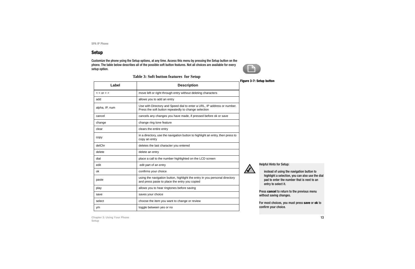#### <span id="page-16-0"></span>**Setup**

Customize the phone ysing the Setup options, at any time. Access this menu by pressing the Setup button on the phone. The table below describes all of the possible soft button features. Not all choices are available for every setup option.



|                |                                                                                                                                 | <b>Figure 3-7: Setup button</b>   |
|----------------|---------------------------------------------------------------------------------------------------------------------------------|-----------------------------------|
| Label          | <b>Description</b>                                                                                                              |                                   |
| $<$ Or $>$ >   | move left or right through entry without deleting characters                                                                    |                                   |
| add            | allows you to add an entry                                                                                                      |                                   |
| alpha, IP, num | Use with Directory and Speed dial to enter a URL, IP address or number.<br>Press the soft button repeatedly to change selection |                                   |
| cancel         | cancels any changes you have made, if pressed before ok or save                                                                 |                                   |
| change         | change ring tone feature                                                                                                        |                                   |
| clear          | clears the entire entry                                                                                                         |                                   |
| copy           | in a directory, use the navigation button to highlight an entry, then press to<br>copy an entry                                 |                                   |
| delChr         | deletes the last character you entered                                                                                          |                                   |
| delete         | delete an entry                                                                                                                 |                                   |
| dial           | place a call to the number highlighted on the LCD screen                                                                        |                                   |
| edit           | edit part of an entry                                                                                                           | <b>Helpful Hints</b>              |
| ok             | confirms your choice                                                                                                            | instead                           |
| paste          | using the navigation button, highlight the entry in you personal directory<br>and press paste to place the entry you copied     | highlight<br>pad to e<br>entry to |
| play           | allows you to hear ringtones before saving                                                                                      |                                   |
| save           | saves your choice                                                                                                               | Press cance<br>without savi       |
| select         | choose the item you want to change or review                                                                                    | For most ch                       |
| y/n            | toggle between yes or no                                                                                                        | confirm you                       |

#### **Table 3: Soft button features for Setup**

Helpful Hints for Setup:

instead of using the navigation button to highlight a selection, you can also use the dial pad to enter the number that is next to an entry to select it.

Press **cancel** to return to the previous menu without saving changes.

For most choices, you must press **save** or **ok** to confirm your choice.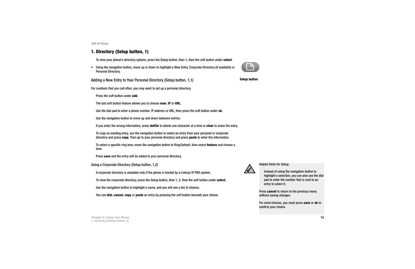#### <span id="page-17-0"></span>**1. Directory (Setup button, 1)**

To view your phone's directory options, press the Setup button, then 1, then the soft button under **select**.

• Using the navigation button, move up or down to highlight a New Entry, Corporate Directory (if available) or Personal Directory.

Adding a New Entry to Your Personal Directory (Setup button, 1,1)

For numbers that you call often, you may want to set up a personal directory.

Press the soft button under **add**.

The last soft button feature allows you to choose **num**, **IP** or **URL**.

Use the dial pad to enter a phone number, IP address or URL, then press the soft button under **ok**,

Use the navigation button to move up and down between entries.

If you enter the wrong information, press **delChr** to delete one character at a time or **clear** to erase the entry.

To copy an existing entry, use the navigation button to select an entry from your personal or corporate directory and press **copy**. Then go to your personal directory and press **paste** to enter the information.

To select a specific ring tone, move the navigation button to Ring:Default, then select **feature** and choose a tone

Press **save** and the entry will be added to your personal directory.

Using a Corporate Directory (Setup button, 1,2)

A corporate directory is available only if the phone is hosted by a Linksys IP PBX system.

To view the corporate directory, press the Setup button, then 1, 2, then the soft button under **select.**

Use the navigation button to highlight a name, and you will see a list of choices.

You can **dial**, **cancel**, **copy** or **paste** an entry by pressing the soft button beneath your choice.



Helpful Hints for Setup:

instead of using the navigation button to highlight a selection, you can also use the dial pad to enter the number that is next to an entry to select it.

Press **cancel** to return to the previous menu without saving changes.

For most choices, you must press **save** or **ok** to confirm your choice.



**Setup button**

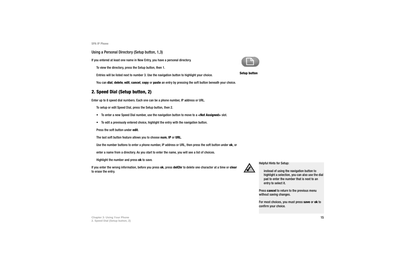#### Using a Personal Directory (Setup button, 1,3)

If you entered at least one name in New Entry, you have a personal directory.

To view the directory, press the Setup button, then 1.

Entries will be listed next to number 3. Use the navigation button to highlight your choice.

You can **dial**, **delete**, **edit**, **cancel**, **copy** or **paste** an entry by pressing the soft button beneath your choice.

#### <span id="page-18-0"></span>**2. Speed Dial (Setup button, 2)**

Enter up to 8 speed dial numbers. Each one can be a phone number, IP address or URL.

To setup or edit Speed Dial, press the Setup button, then 2.

- To enter a new Speed Dial number, use the navigation button to move to a **<Not Assigned>** slot.
- To edit a previously entered choice, highlight the entry with the navigation button.
- Press the soft button under **edit**.

The last soft button feature allows you to choose **num**, **IP** or **URL**.

- Use the number buttons to enter a phone number, IP address or URL, then press the soft button under **ok**, or
- enter a name from a directory. As you start to enter the name, you will see a list of choices.

Highlight the number and press **ok** to save.

If you enter the wrong information, before you press **ok**, press **delChr** to delete one character at a time or **clear** to erase the entry.



Helpful Hints for Setup:

instead of using the navigation button to highlight a selection, you can also use the dial pad to enter the number that is next to an entry to select it.

Press **cancel** to return to the previous menu without saving changes.

For most choices, you must press **save** or **ok** to confirm your choice.



**Setup button**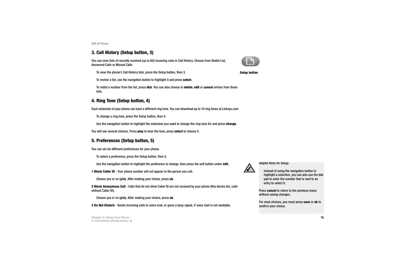#### <span id="page-19-0"></span>**3. Call History (Setup button, 3)**

You can view lists of recently received (up to 60) incoming calls in Call History. Choose from Redial List, Answered Calls or Missed Calls.

To view the phone's Call History lists, press the Setup button, then 3.

To review a list, use the navigation button to highlight it and press **select**.

To redial a number from the list, press **dial**. You can also choose to **delete**, **edit** or **cancel** entries from these lists.

# <span id="page-19-1"></span>**4. Ring Tone (Setup button, 4)**

Each extension of your phone can have a different ring tone. You can download up to 10 ring tones at Linksys.com

To change a ring tone, press the Setup button, then 4.

Use the navigation button to highlight the extension you want to change the ring tone for and press **change**.

You will see several choices. Press **play** to hear the tone, press **select** to choose it.

# <span id="page-19-2"></span>**5. Preferences (Setup button, 5)**

You can set six different preferences for your phone.

To select a preference, press the Setup button, then 5.

Use the navigation button to highlight the preference to change, then press the soft button under **edit**.

**1 Block Caller ID** - Your phone number will not appear to the person you call.

Choose yes or no (**y/n)**. After making your choice, press **ok**.

**2 Block Anonymous Call** - Calls that do not show Caller ID are not received by your phone (this blocks ALL calls without Caller ID).

Choose yes or no (**y/n).** After making your choice, press **ok**.

**3 Do Not Disturb** - Sends incoming calls to voice mail, or gives a busy signal, if voice mail is not available.



**Setup button**



Helpful Hints for Setup:

instead of using the navigation button to highlight a selection, you can also use the dial pad to enter the number that is next to an entry to select it.

Press **cancel** to return to the previous menu without saving changes.

For most choices, you must press **save** or **ok** to confirm your choice.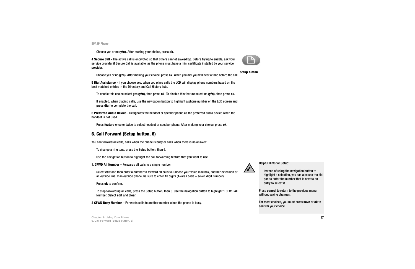**Chapter 3: Using Your Phone** 17 **6. Call Forward (Setup button, 6)**

**SPA IP Phone**

Choose yes or no (**y/n)**. After making your choice, press **ok**.

**4 Secure Call** - The active call is encrypted so that others cannot eavesdrop. Before trying to enable, ask your service provider if Secure Call is available, as the phone must have a mini certificate installed by your service provider.

Choose yes or no (**y/n)**. After making your choice, press **ok**. When you dial you will hear a tone before the call.

**5 Dial Assistance** - If you choose yes, when you place calls the LCD will display phone numbers based on the best matched entries in the Directory and Call History lists.

To enable this choice select yes (**y/n)**, then press **ok**. To disable this feature select no (**y/n)**, then press **ok.**

If enabled, when placing calls, use the navigation button to highlight a phone number on the LCD screen and press **dial** to complete the call.

6 **Preferred Audio Device** - Designates the headset or speaker phone as the preferred audio device when the handset is not used.

Press **feature** once or twice to select headset or speaker phone. After making your choice, press **ok.**

### <span id="page-20-0"></span>**6. Call Forward (Setup button, 6)**

You can forward all calls, calls when the phone is busy or calls when there is no answer:

To change a ring tone, press the Setup button, then 6.

Use the navigation button to highlight the call forwarding feature that you want to use.

1. **CFWD All Number** – Forwards all calls to a single number.

Select **edit** and then enter a number to forward all calls to. Choose your voice mail box, another extension or an outside line. If an outside phone, be sure to enter 10 digits  $(1 + \text{area code} + \text{seven digit number}).$ 

Press **ok** to confirm.

To stop forwarding all calls, press the Setup button, then 6. Use the navigation button to highlight 1 CFWD All Number. Select **edit** and **clear**.

**2 CFWD Busy Number** – Forwards calls to another number when the phone is busy.



instead of using the navigation button to highlight a selection, you can also use the dial pad to enter the number that is next to an entry to select it.

Press **cancel** to return to the previous menu without saving changes.

For most choices, you must press **save** or **ok** to confirm your choice.

**Setup button**

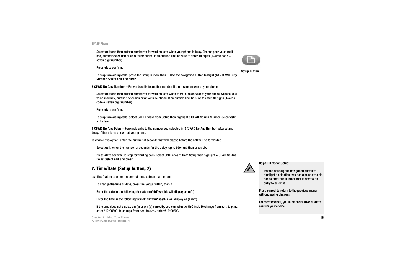**Chapter 3: Using Your Phone** 18 **7. Time/Date (Setup button, 7)**

**SPA IP Phone**

Select **edit** and then enter a number to forward calls to when your phone is busy. Choose your voice mail box, another extension or an outside phone. If an outside line, be sure to enter 10 digits (1+area code + seven digit number).

Press **ok** to confirm.

To stop forwarding calls, press the Setup button, then 6. Use the navigation button to highlight 2 CFWD Busy Number. Select **edit** and **clear**.

**3 CFWD No Ans Number** – Forwards calls to another number if there's no answer at your phone.

Select **edit** and then enter a number to forward calls to when there is no answer at your phone. Choose your voice mail box, another extension or an outside phone. If an outside line, be sure to enter 10 digits (1+area code + seven digit number).

Press **ok** to confirm.

To stop forwarding calls, select Call Forward from Setup then highlight 3 CFWD No Ans Number. Select **edit** and **clear**.

**4 CFWD No Ans Delay** – Forwards calls to the number you selected in 3 (CFWD No Ans Number) after a time delay, if there is no answer at your phone.

To enable this option, enter the number of seconds that will elapse before the call will be forwarded.

Select **edit**, enter the number of seconds for the delay (up to 999) and then press **ok**.

Press **ok** to confirm. To stop forwarding calls, select Call Forward from Setup then highlight 4 CFWD No Ans Delay. Select **edit** and **clear**.

# <span id="page-21-0"></span>**7. Time/Date (Setup button, 7)**

Use this feature to enter the correct time, date and am or pm.

To change the time or date, press the Setup button, then 7.

Enter the date in the following format: **mm\*dd\*yy** (this will display as m/d)

Enter the time in the following format: **hh\*mm\*ss** (this will display as (h:mm)

If the time does not display am (a) or pm (p) correctly, you can adjust with Offset. To change from a.m. to p.m., enter \*12\*00\*00, to change from p.m. to a.m., enter #12\*00\*00.



Helpful Hints for Setup:

instead of using the navigation button to highlight a selection, you can also use the dial pad to enter the number that is next to an entry to select it.

Press **cancel** to return to the previous menu without saving changes.

For most choices, you must press **save** or **ok** to confirm your choice.





```
Setup button
```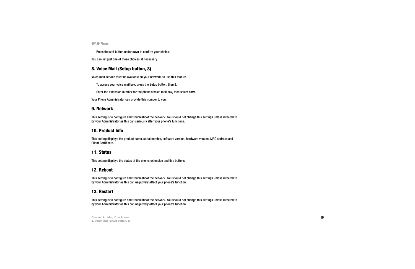Press the soft button under **save** to confirm your choice.

You can set just one of these choices, if necessary.

#### <span id="page-22-0"></span>**8. Voice Mail (Setup button, 8)**

Voice mail service must be available on your network, to use this feature.

To access your voice mail box, press the Setup button, then 8.

Enter the extension number for the phone's voice mail box, then select **save**.

Your Phone Administrator can provide this number to you.

#### <span id="page-22-1"></span>**9. Network**

This setting is to configure and troubleshoot the network. You should not change this settings unless directed to by your Administrator as this can seriously alter your phone's functions.

#### **10. Product Info**

This setting displays the product name, serial number, software version, hardware version, MAC address and Client Certificate.

#### **11. Status**

This setting displays the status of the phone, extension and line buttons.

#### <span id="page-22-2"></span>**12. Reboot**

This setting is to configure and troubleshoot the network. You should not change this settings unless directed to by your Administrator as this can negatively affect your phone's function.

#### <span id="page-22-3"></span>**13. Restart**

This setting is to configure and troubleshoot the network. You should not change this settings unless directed to by your Administrator as this can negatively affect your phone's function.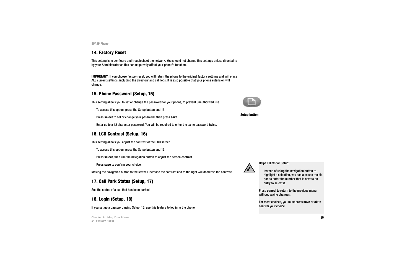#### <span id="page-23-1"></span>**14. Factory Reset**

This setting is to configure and troubleshoot the network. You should not change this settings unless directed to by your Administrator as this can negatively affect your phone's function.

**IMPORTANT:** If you choose factory reset, you will return the phone to the original factory settings and will erase ALL current settings, including the directory and call logs. It is also possible that your phone extension will change.

### <span id="page-23-2"></span>**15. Phone Password (Setup, 15)**

This setting allows you to set or change the password for your phone, to prevent unauthorized use.

To access this option, press the Setup button and 15.

Press **select** to set or change your password, then press **save**.

Enter up to a 12 character password. You will be required to enter the same password twice.

# <span id="page-23-0"></span>**16. LCD Contrast (Setup, 16)**

This setting allows you adjust the contrast of the LCD screen.

To access this option, press the Setup button and 15.

Press **select**, then use the navigation button to adjust the screen contrast.

Press **save** to confirm your choice.

Moving the navigation button to the left will increase the contrast and to the right will decrease the contrast,

# **17. Call Park Status (Setup, 17)**

See the status of a call that has been parked.

### **18. Login (Setup, 18)**

If you set up a password using Setup, 15, use this feature to log in to the phone.

**Chapter 3: Using Your Phone** 20**14. Factory Reset**



**Setup button**



Helpful Hints for Setup:

instead of using the navigation button to highlight a selection, you can also use the dial pad to enter the number that is next to an entry to select it.

Press **cancel** to return to the previous menu without saving changes.

For most choices, you must press **save** or **ok** to confirm your choice.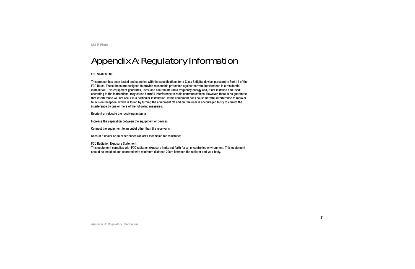# Appendix A: Regulatory Information

#### FCC STATEMENT

This product has been tested and complies with the specifications for a Class B digital device, pursuant to Part 15 of the FCC Rules. These limits are designed to provide reasonable protection against harmful interference in a residential installation. This equipment generates, uses, and can radiate radio frequency energy and, if not installed and used according to the instructions, may cause harmful interference to radio communications. However, there is no guarantee that interference will not occur in a particular installation. If this equipment does cause harmful interference to radio or television reception, which is found by turning the equipment off and on, the user is encouraged to try to correct the interference by one or more of the following measures:

Reorient or relocate the receiving antenna

Increase the separation between the equipment or devices

Connect the equipment to an outlet other than the receiver's

Consult a dealer or an experienced radio/TV technician for assistance

FCC Radiation Exposure Statement

This equipment complies with FCC radiation exposure limits set forth for an uncontrolled environment. This equipment should be installed and operated with minimum distance 20cm between the radiator and your body.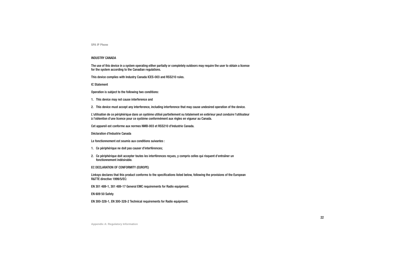#### INDUSTRY CANADA

The use of this device in a system operating either partially or completely outdoors may require the user to obtain a license for the system according to the Canadian regulations.

This device complies with Industry Canada ICES-003 and RSS210 rules.

IC Statement

Operation is subject to the following two conditions:

1. This device may not cause interference and

2. This device must accept any interference, including interference that may cause undesired operation of the device.

L'utilisation de ce périphérique dans un système utilisé partiellement ou totalement en extérieur peut conduire l'utilisateur à l'obtention d'une licence pour ce système conformément aux règles en vigueur au Canada.

Cet appareil est conforme aux normes NMB-003 et RSS210 d'Industrie Canada.

Déclaration d'Industrie Canada

- Le fonctionnement est soumis aux conditions suivantes :
- 1. Ce périphérique ne doit pas causer d'interférences;
- 2. Ce périphérique doit accepter toutes les interférences reçues, y compris celles qui risquent d'entraîner un fonctionnement indésirable.

#### EC DECLARATION OF CONFORMITY (EUROPE)

Linksys declares that this product conforms to the specifications listed below, following the provisions of the European R&TTE directive 1999/5/EC:

EN 301 489-1, 301 489-17 General EMC requirements for Radio equipment.

EN 609 50 Safety

EN 300-328-1, EN 300-328-2 Technical requirements for Radio equipment.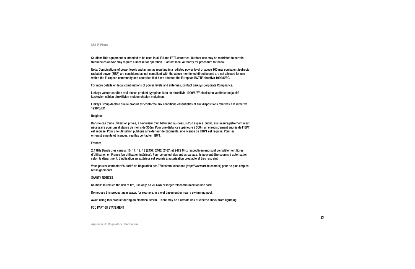Caution: This equipment is intended to be used in all EU and EFTA countries. Outdoor use may be restricted to certain frequencies and/or may require a license for operation. Contact local Authority for procedure to follow.

Note: Combinations of power levels and antennas resulting in a radiated power level of above 100 mW equivalent isotropic radiated power (EIRP) are considered as not compliant with the above mentioned directive and are not allowed for use within the European community and countries that have adopted the European R&TTE directive 1999/5/EC.

For more details on legal combinations of power levels and antennas, contact Linksys Corporate Compliance.

Linksys vakuuttaa täten että dieses produkt tyyppinen laite on direktiivin 1999/5/EY oleellisten vaatimusten ja sitä koskevien näiden direktiivien muiden ehtojen mukainen.

Linksys Group déclare que le produit est conforme aux conditions essentielles et aux dispositions relatives à la directive 1999/5/EC.

#### Belgique:

Dans le cas d'une utilisation privée, à l'extérieur d'un bâtiment, au-dessus d'un espace public, aucun enregistrement n'est nécessaire pour une distance de moins de 300m. Pour une distance supérieure à 300m un enregistrement auprès de l'IBPT est requise. Pour une utilisation publique à l'extérieur de bâtiments, une licence de l'IBPT est requise. Pour les enregistrements et licences, veuillez contacter l'IBPT.

#### France:

2.4 GHz Bande : les canaux 10, 11, 12, 13 (2457, 2462, 2467, et 2472 MHz respectivement) sont complétement libres d'utilisation en France (en utilisation intérieur). Pour ce qui est des autres canaux, ils peuvent être soumis à autorisation selon le départment. L'utilisation en extérieur est soumis à autorisation préalable et très restreint.

Vous pouvez contacter l'Autorité de Régulation des Télécommunications (http://www.art-telecom.fr) pour de plus amples renseignements.

#### SAFETY NOTICES

Caution: To reduce the risk of fire, use only No.26 AWG or larger telecommunication line cord.

Do not use this product near water, for example, in a wet basement or near a swimming pool.

Avoid using this product during an electrical storm. There may be a remote risk of electric shock from lightning.

#### FCC PART 68 STATEMENT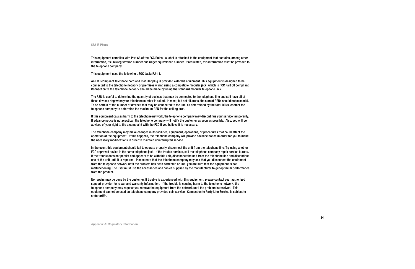This equipment complies with Part 68 of the FCC Rules. A label is attached to the equipment that contains, among other information, its FCC registration number and ringer equivalence number. If requested, this information must be provided to the telephone company.

This equipment uses the following USOC Jack: RJ-11.

An FCC compliant telephone cord and modular plug is provided with this equipment. This equipment is designed to be connected to the telephone network or premises wiring using a compatible modular jack, which is FCC Part 68 compliant. Connection to the telephone network should be made by using the standard modular telephone jack.

The REN is useful to determine the quantity of devices that may be connected to the telephone line and still have all of those devices ring when your telephone number is called. In most, but not all areas, the sum of RENs should not exceed 5. To be certain of the number of devices that may be connected to the line, as determined by the total RENs, contact the telephone company to determine the maximum REN for the calling area.

If this equipment causes harm to the telephone network, the telephone company may discontinue your service temporarily. If advance notice is not practical, the telephone company will notify the customer as soon as possible. Also, you will be advised of your right to file a complaint with the FCC if you believe it is necessary.

The telephone company may make changes in its facilities, equipment, operations, or procedures that could affect the operation of the equipment. If this happens, the telephone company will provide advance notice in order for you to make the necessary modifications in order to maintain uninterrupted service.

In the event this equipment should fail to operate properly, disconnect the unit from the telephone line. Try using another FCC approved device in the same telephone jack. If the trouble persists, call the telephone company repair service bureau. If the trouble does not persist and appears to be with this unit, disconnect the unit from the telephone line and discontinue use of the unit until it is repaired. Please note that the telephone company may ask that you disconnect the equipment from the telephone network until the problem has been corrected or until you are sure that the equipment is not malfunctioning. The user must use the accessories and cables supplied by the manufacturer to get optimum performance from the product.

No repairs may be done by the customer. If trouble is experienced with this equipment, please contact your authorized support provider for repair and warranty information. If the trouble is causing harm to the telephone network, the telephone company may request you remove the equipment from the network until the problem is resolved. This equipment cannot be used on telephone company provided coin service. Connection to Party Line Service is subject to state tariffs.